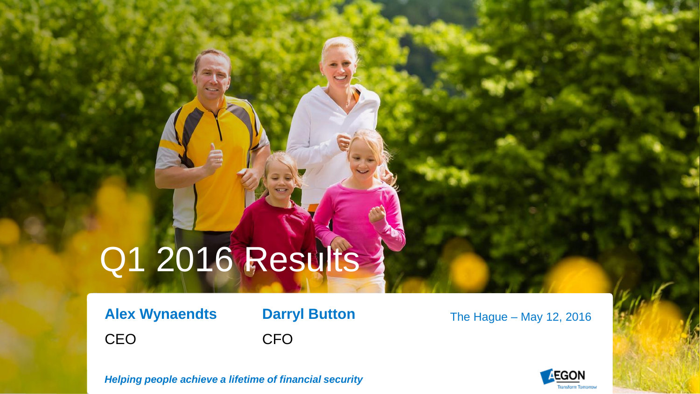# Q1 2016 Results

**Alex Wynaendts Darryl Button** CEO CFO

The Hague – May 12, 2016



*Helping people achieve a lifetime of financial security*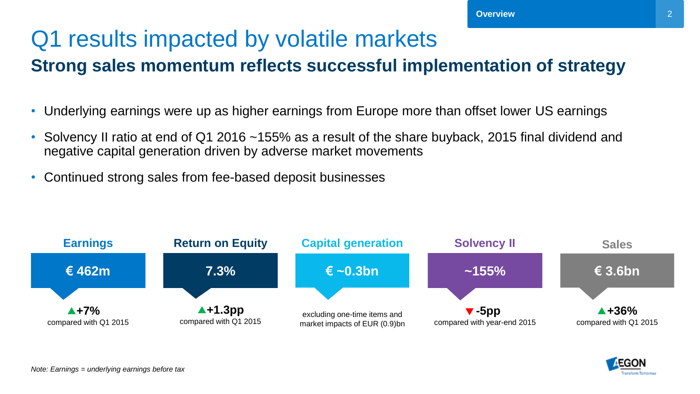## Q1 results impacted by volatile markets

#### **Strong sales momentum reflects successful implementation of strategy**

- Underlying earnings were up as higher earnings from Europe more than offset lower US earnings
- Solvency II ratio at end of Q1 2016 ~155% as a result of the share buyback, 2015 final dividend and negative capital generation driven by adverse market movements
- Continued strong sales from fee-based deposit businesses



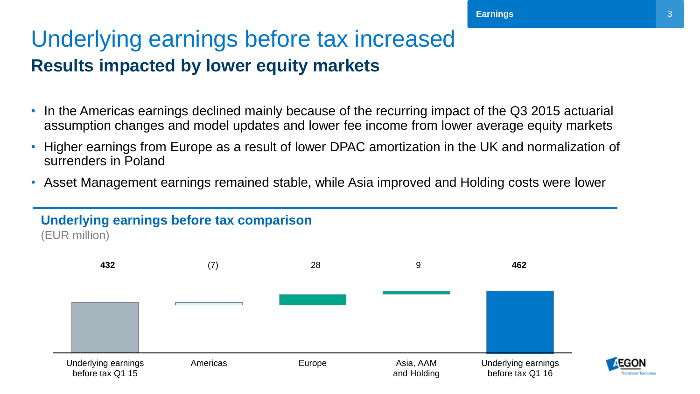### Underlying earnings before tax increased **Results impacted by lower equity markets**

- In the Americas earnings declined mainly because of the recurring impact of the Q3 2015 actuarial assumption changes and model updates and lower fee income from lower average equity markets
- Higher earnings from Europe as a result of lower DPAC amortization in the UK and normalization of surrenders in Poland
- Asset Management earnings remained stable, while Asia improved and Holding costs were lower

#### **Underlying earnings before tax comparison**

(EUR million)

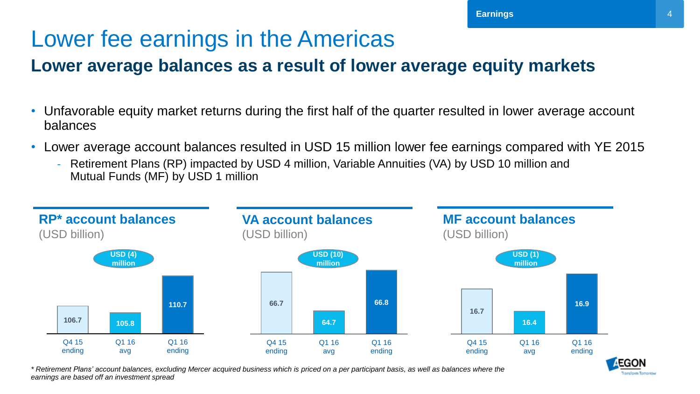### Lower fee earnings in the Americas

#### **Lower average balances as a result of lower average equity markets**

- Unfavorable equity market returns during the first half of the quarter resulted in lower average account balances
- Lower average account balances resulted in USD 15 million lower fee earnings compared with YE 2015
	- Retirement Plans (RP) impacted by USD 4 million, Variable Annuities (VA) by USD 10 million and Mutual Funds (MF) by USD 1 million



*\* Retirement Plans' account balances, excluding Mercer acquired business which is priced on a per participant basis, as well as balances where the earnings are based off an investment spread*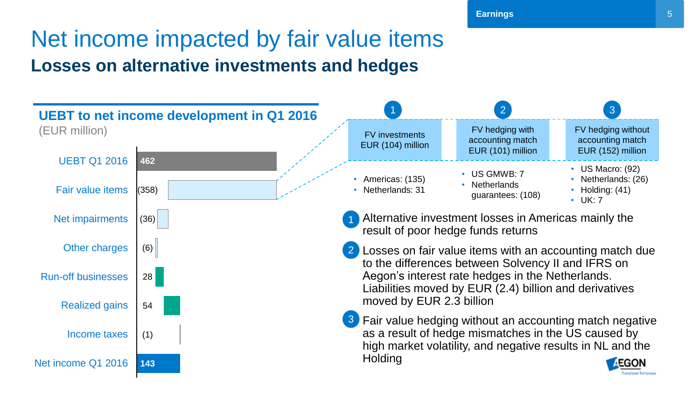### Net income impacted by fair value items **Losses on alternative investments and hedges**

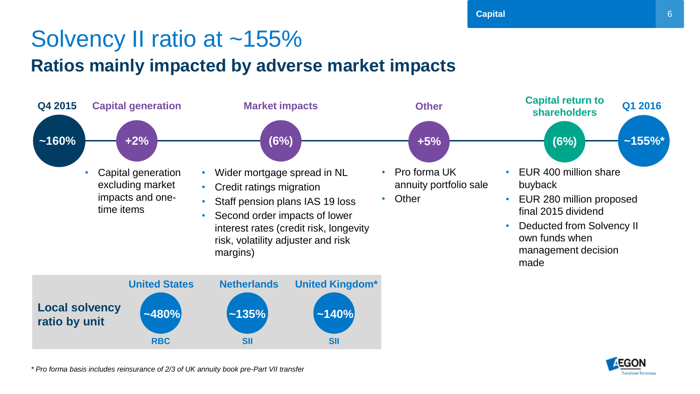### Solvency II ratio at ~155%

#### **Ratios mainly impacted by adverse market impacts**





*\* Pro forma basis includes reinsurance of 2/3 of UK annuity book pre-Part VII transfer*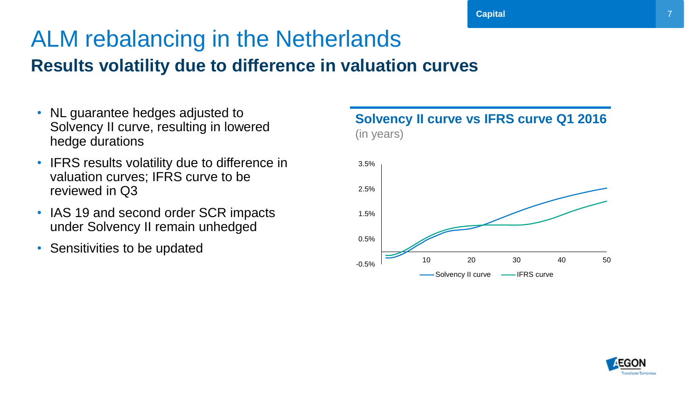### ALM rebalancing in the Netherlands **Results volatility due to difference in valuation curves**

- NL guarantee hedges adjusted to Solvency II curve, resulting in lowered hedge durations
- IFRS results volatility due to difference in valuation curves; IFRS curve to be reviewed in Q3
- IAS 19 and second order SCR impacts under Solvency II remain unhedged
- Sensitivities to be updated



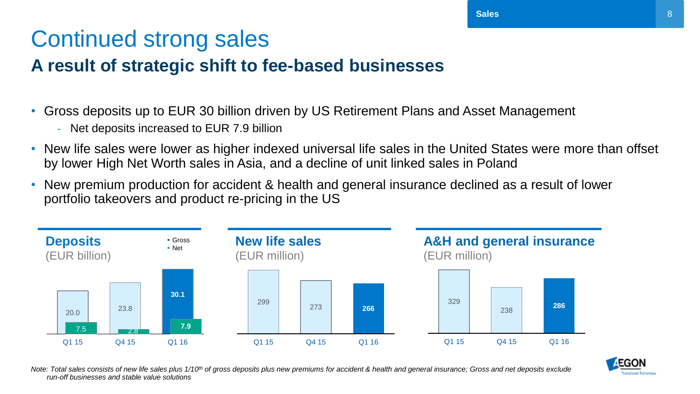## Continued strong sales

#### **A result of strategic shift to fee-based businesses**

- Gross deposits up to EUR 30 billion driven by US Retirement Plans and Asset Management
	- Net deposits increased to EUR 7.9 billion
- New life sales were lower as higher indexed universal life sales in the United States were more than offset by lower High Net Worth sales in Asia, and a decline of unit linked sales in Poland
- New premium production for accident & health and general insurance declined as a result of lower portfolio takeovers and product re-pricing in the US





<span id="page-7-0"></span>*Note: Total sales consists of new life sales plus 1/10th of gross deposits plus new premiums for accident & health and general insurance; Gross and net deposits exclude run-off businesses and stable value solutions*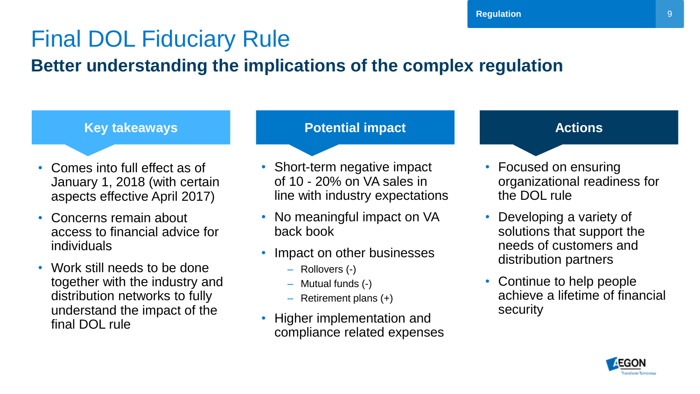## Final DOL Fiduciary Rule

#### **Better understanding the implications of the complex regulation**

- Comes into full effect as of January 1, 2018 (with certain aspects effective April 2017)
- Concerns remain about access to financial advice for individuals
- <span id="page-8-0"></span>• Work still needs to be done together with the industry and distribution networks to fully understand the impact of the final DOL rule

#### **Key takeaways <b>Potential impact** Actions

- Short-term negative impact of 10 - 20% on VA sales in line with industry expectations
- No meaningful impact on VA back book
- Impact on other businesses
	- ‒ Rollovers (-)
	- ‒ Mutual funds (-)
	- $-$  Retirement plans  $(+)$
- Higher implementation and compliance related expenses

- Focused on ensuring organizational readiness for the DOL rule
- Developing a variety of solutions that support the needs of customers and distribution partners
- Continue to help people achieve a lifetime of financial security

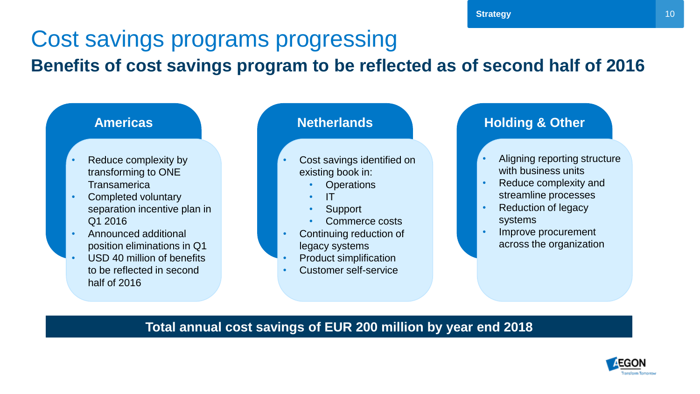### Cost savings programs progressing **Benefits of cost savings program to be reflected as of second half of 2016**



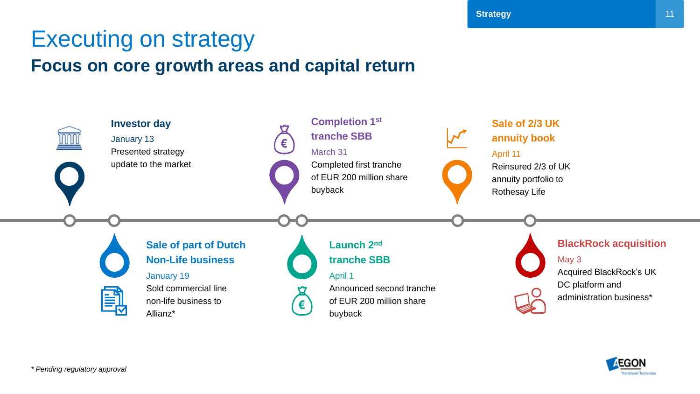## Executing on strategy

#### **Focus on core growth areas and capital return**





**Strategy**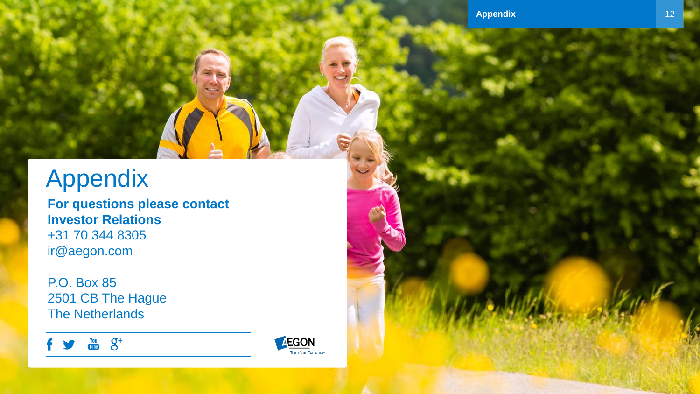## Appendix

**For questions please contact Investor Relations** +31 70 344 8305 ir@aegon.com

P.O. Box 85 2501 CB The Hague The Netherlands

 $\frac{y_{0u}}{100v}$   $\mathcal{S}^+$ 

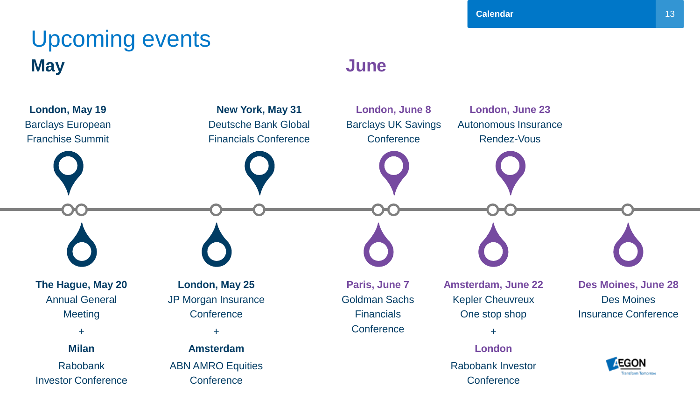### Upcoming events **May June**

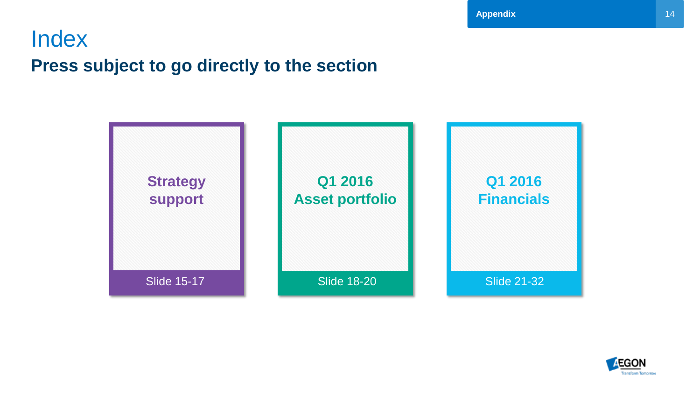### Index

### **Press subject to go directly to the section**



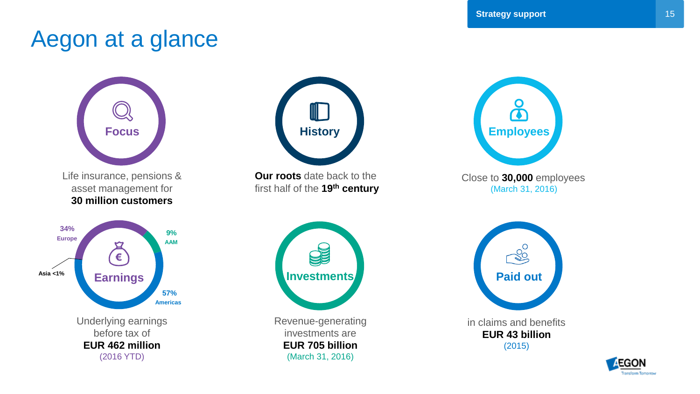### Aegon at a glance





**Our roots** date back to the first half of the **19th century**



<span id="page-14-0"></span>Revenue-generating investments are **EUR 705 billion** (March 31, 2016)



in claims and benefits **EUR 43 billion** (2015)

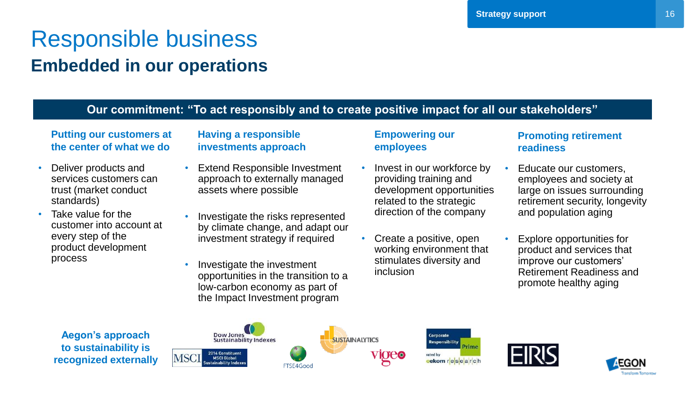### Responsible business **Embedded in our operations**

#### **Our commitment: "To act responsibly and to create positive impact for all our stakeholders"**

#### **Putting our customers at the center of what we do**

- Deliver products and services customers can trust (market conduct standards)
- Take value for the customer into account at every step of the product development process

#### **Having a responsible investments approach**

- **Extend Responsible Investment** approach to externally managed assets where possible
- Investigate the risks represented by climate change, and adapt our investment strategy if required
- Investigate the investment opportunities in the transition to a low-carbon economy as part of the Impact Investment program

#### **Empowering our employees**

- Invest in our workforce by providing training and development opportunities related to the strategic direction of the company
- Create a positive, open working environment that stimulates diversity and inclusion

**Prime** 

#### **Promoting retirement readiness**

- Educate our customers. employees and society at large on issues surrounding retirement security, longevity and population aging
- Explore opportunities for product and services that improve our customers' Retirement Readiness and promote healthy aging







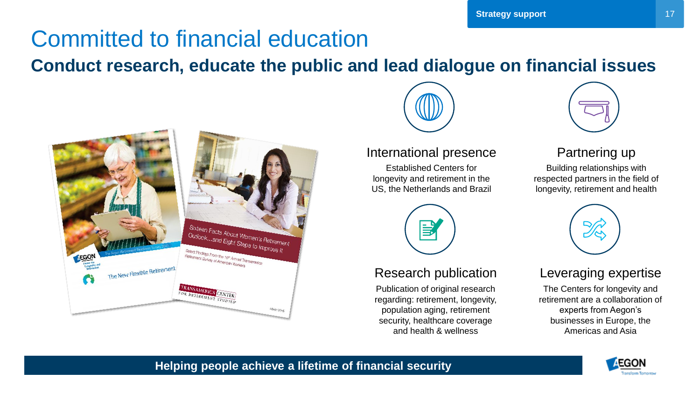## Committed to financial education

**Conduct research, educate the public and lead dialogue on financial issues**





International presence Established Centers for longevity and retirement in the US, the Netherlands and Brazil

Publication of original research regarding: retirement, longevity, population aging, retirement security, healthcare coverage and health & wellness

Research publication



#### Partnering up

Building relationships with respected partners in the field of longevity, retirement and health



#### Leveraging expertise

The Centers for longevity and retirement are a collaboration of experts from Aegon's businesses in Europe, the Americas and Asia



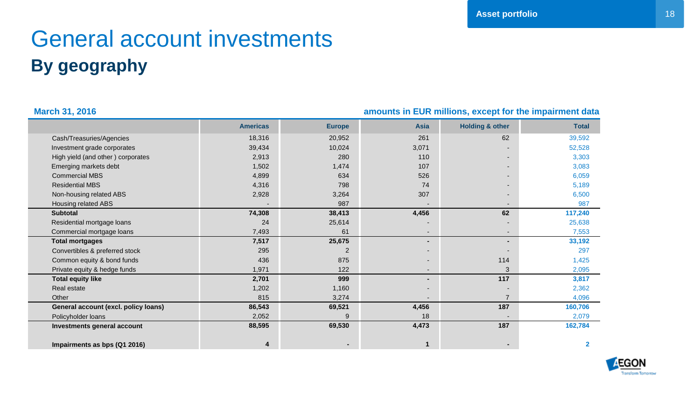## General account investments **By geography**

<span id="page-17-0"></span>

| <b>March 31, 2016</b>                | amounts in EUR millions, except for the impairment data |               |             |                            |              |
|--------------------------------------|---------------------------------------------------------|---------------|-------------|----------------------------|--------------|
|                                      | <b>Americas</b>                                         | <b>Europe</b> | <b>Asia</b> | <b>Holding &amp; other</b> | <b>Total</b> |
| Cash/Treasuries/Agencies             | 18,316                                                  | 20,952        | 261         | 62                         | 39,592       |
| Investment grade corporates          | 39,434                                                  | 10,024        | 3,071       |                            | 52,528       |
| High yield (and other) corporates    | 2,913                                                   | 280           | 110         |                            | 3,303        |
| Emerging markets debt                | 1,502                                                   | 1,474         | 107         |                            | 3,083        |
| <b>Commercial MBS</b>                | 4,899                                                   | 634           | 526         |                            | 6,059        |
| <b>Residential MBS</b>               | 4,316                                                   | 798           | 74          |                            | 5,189        |
| Non-housing related ABS              | 2,928                                                   | 3,264         | 307         |                            | 6,500        |
| Housing related ABS                  |                                                         | 987           |             |                            | 987          |
| <b>Subtotal</b>                      | 74,308                                                  | 38,413        | 4,456       | 62                         | 117,240      |
| Residential mortgage loans           | 24                                                      | 25,614        |             |                            | 25,638       |
| Commercial mortgage loans            | 7,493                                                   | 61            |             |                            | 7,553        |
| <b>Total mortgages</b>               | 7,517                                                   | 25,675        | ۰.          | Ξ.                         | 33,192       |
| Convertibles & preferred stock       | 295                                                     | 2             |             |                            | 297          |
| Common equity & bond funds           | 436                                                     | 875           |             | 114                        | 1,425        |
| Private equity & hedge funds         | 1,971                                                   | 122           | ٠           | 3                          | 2,095        |
| <b>Total equity like</b>             | 2,701                                                   | 999           | ۰.          | 117                        | 3,817        |
| Real estate                          | 1,202                                                   | 1,160         |             |                            | 2,362        |
| Other                                | 815                                                     | 3,274         |             | $\overline{7}$             | 4,096        |
| General account (excl. policy loans) | 86,543                                                  | 69,521        | 4,456       | 187                        | 160,706      |
| Policyholder loans                   | 2,052                                                   |               | 18          |                            | 2,079        |
| Investments general account          | 88,595                                                  | 69,530        | 4,473       | 187                        | 162,784      |
| Impairments as bps (Q1 2016)         | 4                                                       |               |             |                            | $\mathbf{2}$ |

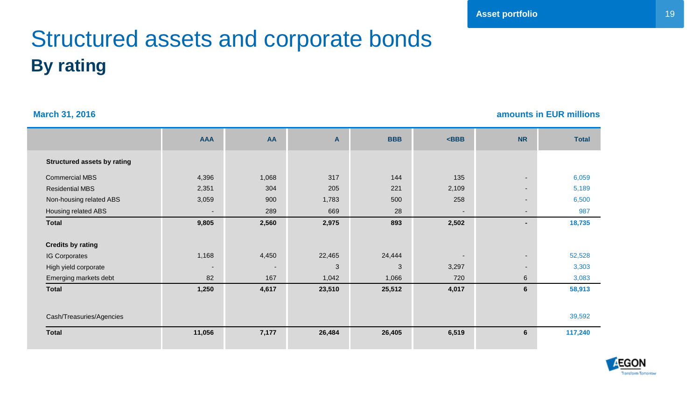## Structured assets and corporate bonds **By rating**

**March 31, 2016 amounts in EUR millions**

|                                    | <b>AAA</b>               | AA                       | A      | <b>BBB</b> | $<$ BBB                  | <b>NR</b>                | <b>Total</b> |
|------------------------------------|--------------------------|--------------------------|--------|------------|--------------------------|--------------------------|--------------|
| <b>Structured assets by rating</b> |                          |                          |        |            |                          |                          |              |
| <b>Commercial MBS</b>              | 4,396                    | 1,068                    | 317    | 144        | 135                      |                          | 6,059        |
| <b>Residential MBS</b>             | 2,351                    | 304                      | 205    | 221        | 2,109                    | $\overline{\phantom{a}}$ | 5,189        |
| Non-housing related ABS            | 3,059                    | 900                      | 1,783  | 500        | 258                      | $\overline{\phantom{a}}$ | 6,500        |
| Housing related ABS                | $\overline{\phantom{a}}$ | 289                      | 669    | 28         | ٠                        | $\overline{\phantom{a}}$ | 987          |
| <b>Total</b>                       | 9,805                    | 2,560                    | 2,975  | 893        | 2,502                    | $\blacksquare$           | 18,735       |
| <b>Credits by rating</b>           |                          |                          |        |            |                          |                          |              |
| <b>IG Corporates</b>               | 1,168                    | 4,450                    | 22,465 | 24,444     | $\overline{\phantom{a}}$ |                          | 52,528       |
| High yield corporate               | $\overline{\phantom{0}}$ | $\overline{\phantom{a}}$ | 3      | 3          | 3,297                    | $\overline{\phantom{a}}$ | 3,303        |
| Emerging markets debt              | 82                       | 167                      | 1,042  | 1,066      | 720                      | 6                        | 3,083        |
| <b>Total</b>                       | 1,250                    | 4,617                    | 23,510 | 25,512     | 4,017                    | 6                        | 58,913       |
|                                    |                          |                          |        |            |                          |                          |              |
| Cash/Treasuries/Agencies           |                          |                          |        |            |                          |                          | 39,592       |
| <b>Total</b>                       | 11,056                   | 7,177                    | 26,484 | 26,405     | 6,519                    | 6                        | 117,240      |
|                                    |                          |                          |        |            |                          |                          |              |

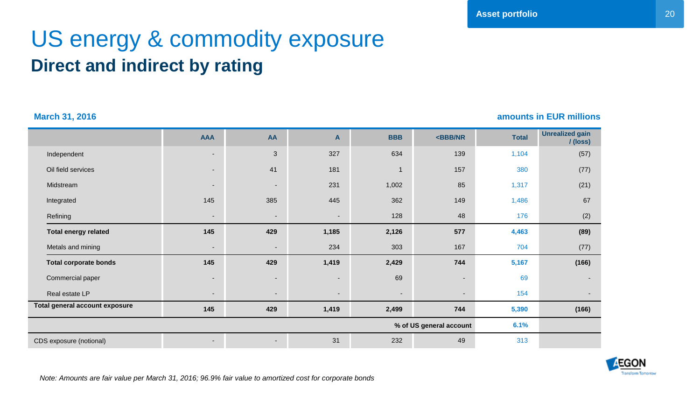### US energy & commodity exposure **Direct and indirect by rating**

**March 31, 2016 amounts in EUR millions**

|                                | <b>AAA</b>               | AA                       | A                        | <b>BBB</b>               | <bbb nr<="" th=""><th><b>Total</b></th><th><b>Unrealized gain</b><br/>/(loss)</th></bbb> | <b>Total</b> | <b>Unrealized gain</b><br>/(loss) |
|--------------------------------|--------------------------|--------------------------|--------------------------|--------------------------|------------------------------------------------------------------------------------------|--------------|-----------------------------------|
| Independent                    | ٠                        | 3                        | 327                      | 634                      | 139                                                                                      | 1,104        | (57)                              |
| Oil field services             | $\overline{\phantom{0}}$ | 41                       | 181                      | $\mathbf{1}$             | 157                                                                                      | 380          | (77)                              |
| Midstream                      | $\sim$                   | $\overline{\phantom{a}}$ | 231                      | 1,002                    | 85                                                                                       | 1,317        | (21)                              |
| Integrated                     | 145                      | 385                      | 445                      | 362                      | 149                                                                                      | 1,486        | 67                                |
| Refining                       | -                        | $\overline{\phantom{a}}$ | $\overline{\phantom{a}}$ | 128                      | 48                                                                                       | 176          | (2)                               |
| <b>Total energy related</b>    | 145                      | 429                      | 1,185                    | 2,126                    | 577                                                                                      | 4,463        | (89)                              |
| Metals and mining              | $\overline{\phantom{a}}$ | $\overline{\phantom{a}}$ | 234                      | 303                      | 167                                                                                      | 704          | (77)                              |
| <b>Total corporate bonds</b>   | 145                      | 429                      | 1,419                    | 2,429                    | 744                                                                                      | 5,167        | (166)                             |
| Commercial paper               | $\sim$                   | $\overline{\phantom{a}}$ | $\overline{\phantom{a}}$ | 69                       |                                                                                          | 69           |                                   |
| Real estate LP                 | ٠                        | $\overline{\phantom{a}}$ | $\overline{\phantom{a}}$ | $\overline{\phantom{a}}$ | $\blacksquare$                                                                           | 154          |                                   |
| Total general account exposure | 145                      | 429                      | 1,419                    | 2,499                    | 744                                                                                      | 5,390        | (166)                             |
|                                |                          |                          |                          |                          | % of US general account                                                                  | 6.1%         |                                   |
| CDS exposure (notional)        |                          | $\overline{\phantom{a}}$ | 31                       | 232                      | 49                                                                                       | 313          |                                   |



*Note: Amounts are fair value per March 31, 2016; 96.9% fair value to amortized cost for corporate bonds*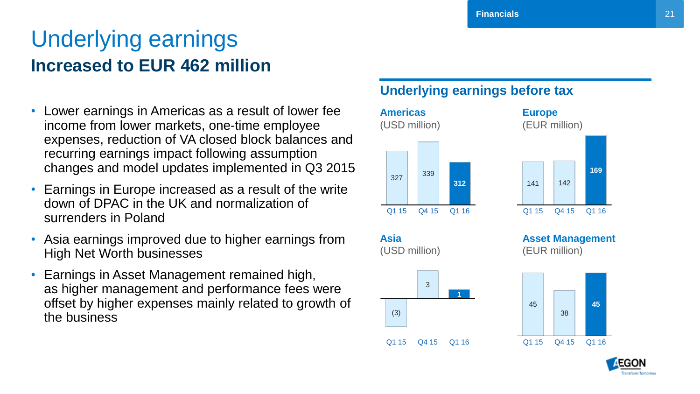### Underlying earnings **Increased to EUR 462 million**

- Lower earnings in Americas as a result of lower fee income from lower markets, one-time employee expenses, reduction of VA closed block balances and recurring earnings impact following assumption changes and model updates implemented in Q3 2015
- Earnings in Europe increased as a result of the write down of DPAC in the UK and normalization of surrenders in Poland
- Asia earnings improved due to higher earnings from High Net Worth businesses
- <span id="page-20-0"></span>• Earnings in Asset Management remained high, as higher management and performance fees were offset by higher expenses mainly related to growth of the business

#### **Underlying earnings before tax**

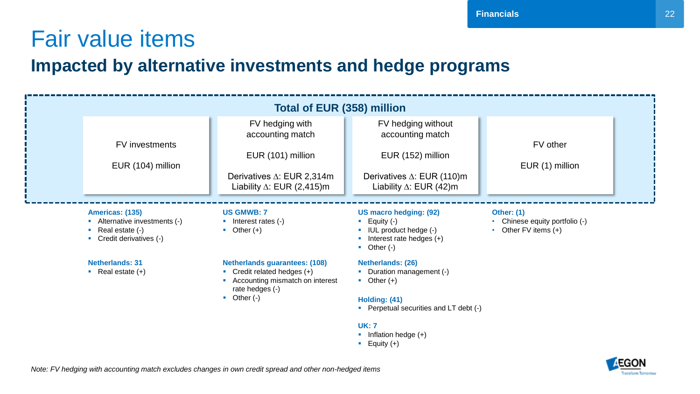## Fair value items

#### **Impacted by alternative investments and hedge programs**

| <b>Total of EUR (358) million</b>                                                                                |                                                                                                                               |                                                                                                                                        |                                                                               |  |
|------------------------------------------------------------------------------------------------------------------|-------------------------------------------------------------------------------------------------------------------------------|----------------------------------------------------------------------------------------------------------------------------------------|-------------------------------------------------------------------------------|--|
| FV investments                                                                                                   | FV hedging with<br>accounting match<br>EUR (101) million                                                                      | FV hedging without<br>accounting match<br>EUR (152) million                                                                            | FV other                                                                      |  |
| EUR (104) million                                                                                                | Derivatives $\Delta$ : EUR 2,314m<br>Liability $\Delta$ : EUR (2,415)m                                                        | Derivatives $\Delta$ : EUR (110)m<br>Liability $\Delta$ : EUR (42)m                                                                    | EUR (1) million                                                               |  |
| Americas: (135)<br>Alternative investments (-)<br>$\blacksquare$ Real estate $(\cdot)$<br>Credit derivatives (-) | <b>US GMWB: 7</b><br>$\blacksquare$ Interest rates $(\cdot)$<br>$\bullet$ Other (+)                                           | <b>US macro hedging: (92)</b><br>Equity (-)<br>×<br>IUL product hedge (-)<br><b>COL</b><br>Interest rate hedges (+)<br>Other (-)<br>п. | <b>Other: (1)</b><br>• Chinese equity portfolio (-)<br>• Other FV items $(+)$ |  |
| <b>Netherlands: 31</b><br>• Real estate $(+)$                                                                    | <b>Netherlands guarantees: (108)</b><br>• Credit related hedges $(+)$<br>• Accounting mismatch on interest<br>rate hedges (-) | Netherlands: (26)<br>• Duration management (-)<br>$\bullet$ Other (+)                                                                  |                                                                               |  |
|                                                                                                                  | $\bullet$ Other (-)                                                                                                           | Holding: (41)<br>• Perpetual securities and LT debt (-)<br><b>UK: 7</b><br>Inflation hedge (+)<br>$\blacksquare$ Equity (+)            |                                                                               |  |



22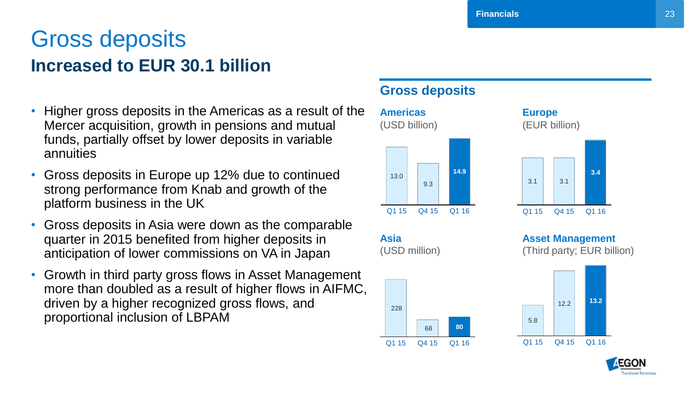### Gross deposits **Increased to EUR 30.1 billion**

- Higher gross deposits in the Americas as a result of the Mercer acquisition, growth in pensions and mutual funds, partially offset by lower deposits in variable annuities
- Gross deposits in Europe up 12% due to continued strong performance from Knab and growth of the platform business in the UK
- Gross deposits in Asia were down as the comparable quarter in 2015 benefited from higher deposits in anticipation of lower commissions on VA in Japan
- Growth in third party gross flows in Asset Management more than doubled as a result of higher flows in AIFMC, driven by a higher recognized gross flows, and proportional inclusion of LBPAM

#### **Gross deposits**



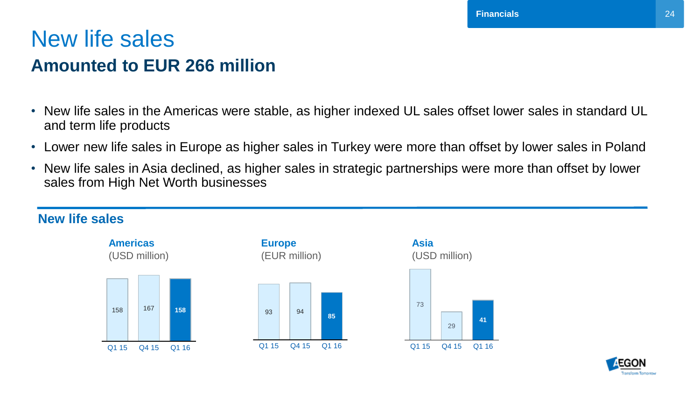### New life sales **Amounted to EUR 266 million**

- New life sales in the Americas were stable, as higher indexed UL sales offset lower sales in standard UL and term life products
- Lower new life sales in Europe as higher sales in Turkey were more than offset by lower sales in Poland
- New life sales in Asia declined, as higher sales in strategic partnerships were more than offset by lower sales from High Net Worth businesses

#### **New life sales**







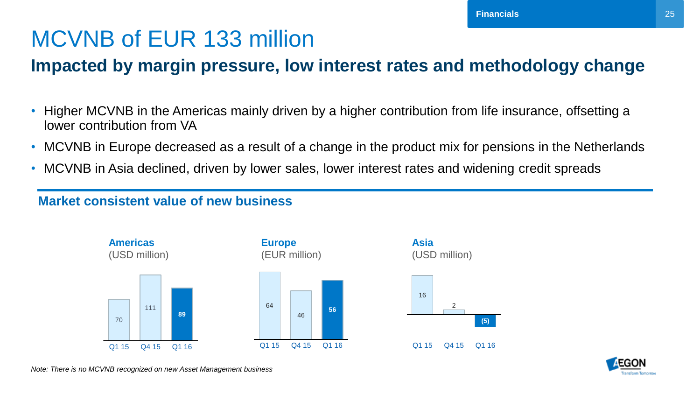## MCVNB of EUR 133 million

### **Impacted by margin pressure, low interest rates and methodology change**

- Higher MCVNB in the Americas mainly driven by a higher contribution from life insurance, offsetting a lower contribution from VA
- MCVNB in Europe decreased as a result of a change in the product mix for pensions in the Netherlands
- MCVNB in Asia declined, driven by lower sales, lower interest rates and widening credit spreads

#### **Market consistent value of new business**







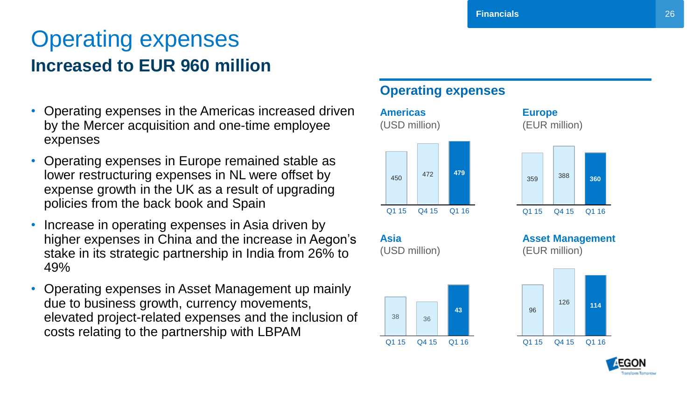### Operating expenses **Increased to EUR 960 million**

- Operating expenses in the Americas increased driven by the Mercer acquisition and one-time employee expenses
- Operating expenses in Europe remained stable as lower restructuring expenses in NL were offset by expense growth in the UK as a result of upgrading policies from the back book and Spain
- Increase in operating expenses in Asia driven by higher expenses in China and the increase in Aegon's stake in its strategic partnership in India from 26% to 49%
- Operating expenses in Asset Management up mainly due to business growth, currency movements, elevated project-related expenses and the inclusion of costs relating to the partnership with LBPAM

#### **Operating expenses**



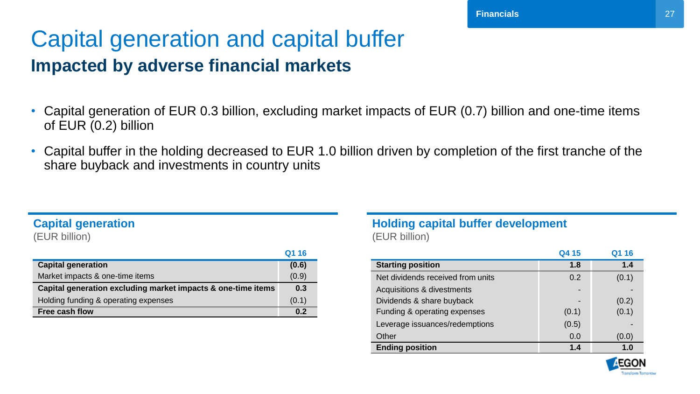### Capital generation and capital buffer **Impacted by adverse financial markets**

- Capital generation of EUR 0.3 billion, excluding market impacts of EUR (0.7) billion and one-time items of EUR (0.2) billion
- Capital buffer in the holding decreased to EUR 1.0 billion driven by completion of the first tranche of the share buyback and investments in country units

#### **Capital generation**

(EUR billion)

|                                                              | Q1 16 |
|--------------------------------------------------------------|-------|
| <b>Capital generation</b>                                    | (0.6) |
| Market impacts & one-time items                              | (0.9) |
| Capital generation excluding market impacts & one-time items | 0.3   |
| Holding funding & operating expenses                         | (0.1) |
| Free cash flow                                               | 0.2   |

#### **Holding capital buffer development** (EUR billion)

|                                       | Q4 15 | 1 16  |
|---------------------------------------|-------|-------|
| <b>Starting position</b>              | 1.8   | 1.4   |
| Net dividends received from units     | 0.2   | (0.1) |
| <b>Acquisitions &amp; divestments</b> |       |       |
| Dividends & share buyback             |       | (0.2) |
| Funding & operating expenses          | (0.1) | (0.1) |
| Leverage issuances/redemptions        | (0.5) |       |
| Other                                 | 0.0   | (0.0) |
| <b>Ending position</b>                | 1.4   | 1.0   |

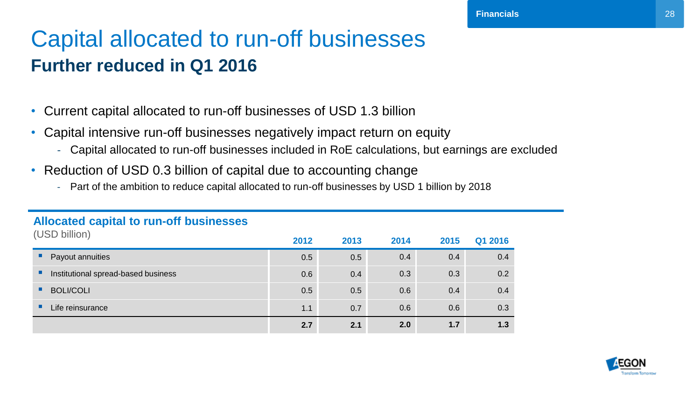### Capital allocated to run-off businesses **Further reduced in Q1 2016**

- Current capital allocated to run-off businesses of USD 1.3 billion
- Capital intensive run-off businesses negatively impact return on equity
	- Capital allocated to run-off businesses included in RoE calculations, but earnings are excluded
- Reduction of USD 0.3 billion of capital due to accounting change
	- Part of the ambition to reduce capital allocated to run-off businesses by USD 1 billion by 2018

| (USD billion)                            | 2012 | 2013 | 2014 | 2015 | Q1 2016 |
|------------------------------------------|------|------|------|------|---------|
| Payout annuities                         | 0.5  | 0.5  | 0.4  | 0.4  | 0.4     |
| Institutional spread-based business<br>п | 0.6  | 0.4  | 0.3  | 0.3  | 0.2     |
| <b>BOLI/COLI</b>                         | 0.5  | 0.5  | 0.6  | 0.4  | 0.4     |
| Life reinsurance<br>ш                    | 1.1  | 0.7  | 0.6  | 0.6  | 0.3     |
|                                          | 2.7  | 2.1  | 2.0  | 1.7  | 1.3     |

#### **Allocated capital to run-off businesses**

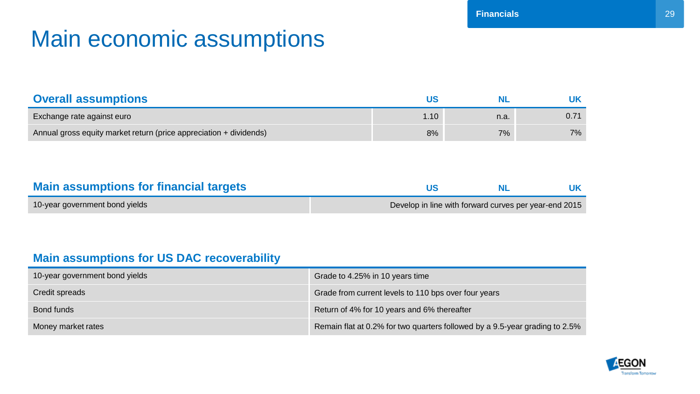## Main economic assumptions

| <b>Overall assumptions</b>                                         |      |      |      |
|--------------------------------------------------------------------|------|------|------|
| Exchange rate against euro                                         | 1.10 | n.a. | 0.71 |
| Annual gross equity market return (price appreciation + dividends) | 8%   | 7%   | 7%   |

| <b>Main assumptions for financial targets</b> |                                                       |  |
|-----------------------------------------------|-------------------------------------------------------|--|
| 10-year government bond yields                | Develop in line with forward curves per year-end 2015 |  |

#### **Main assumptions for US DAC recoverability**

| 10-year government bond yields | Grade to 4.25% in 10 years time                                             |
|--------------------------------|-----------------------------------------------------------------------------|
| Credit spreads                 | Grade from current levels to 110 bps over four years                        |
| Bond funds                     | Return of 4% for 10 years and 6% thereafter                                 |
| Money market rates             | Remain flat at 0.2% for two quarters followed by a 9.5-year grading to 2.5% |

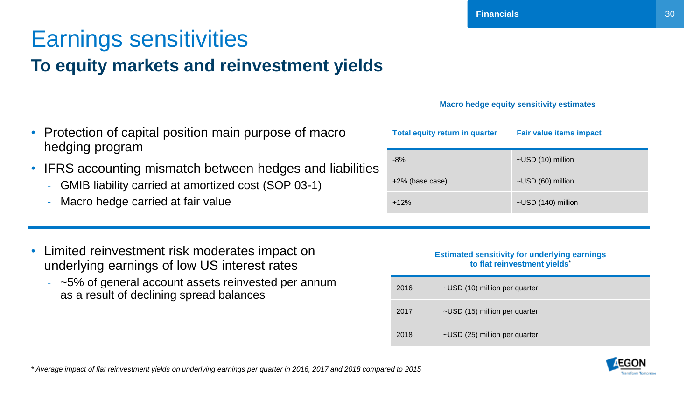### Earnings sensitivities **To equity markets and reinvestment yields**

- Protection of capital position main purpose of macro hedging program
- IFRS accounting mismatch between hedges and liabilities
	- GMIB liability carried at amortized cost (SOP 03-1)
	- Macro hedge carried at fair value
- Limited reinvestment risk moderates impact on underlying earnings of low US interest rates
	- ~5% of general account assets reinvested per annum as a result of declining spread balances

#### **Estimated sensitivity for underlying earnings to flat reinvestment yields\***

| 2016 | ~USD (10) million per quarter |
|------|-------------------------------|
| 2017 | ~USD (15) million per quarter |
| 2018 | ~USD (25) million per quarter |

**Total equity return in quarter Fair value items impact** 



**Macro hedge equity sensitivity estimates**

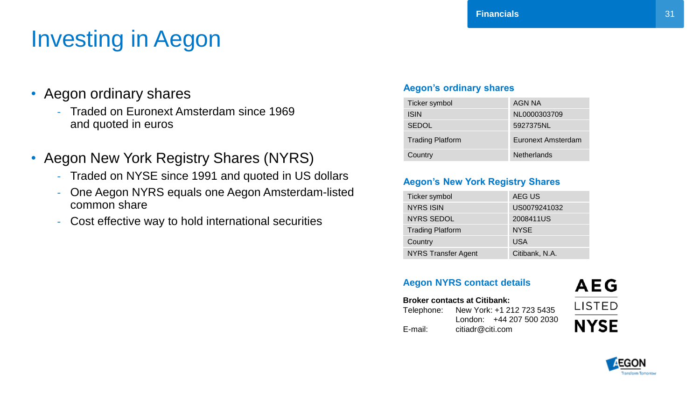## Investing in Aegon

- Aegon ordinary shares
	- Traded on Euronext Amsterdam since 1969 and quoted in euros
- Aegon New York Registry Shares (NYRS)
	- Traded on NYSE since 1991 and quoted in US dollars
	- One Aegon NYRS equals one Aegon Amsterdam-listed common share
	- Cost effective way to hold international securities

#### **Aegon's ordinary shares**

| Ticker symbol           | AGN NA             |
|-------------------------|--------------------|
| <b>ISIN</b>             | NL0000303709       |
| <b>SEDOL</b>            | 5927375NL          |
| <b>Trading Platform</b> | Euronext Amsterdam |
| Country                 | <b>Netherlands</b> |

**Financials**

#### **Aegon's New York Registry Shares**

| Ticker symbol              | AEG US         |
|----------------------------|----------------|
| <b>NYRS ISIN</b>           | US0079241032   |
| <b>NYRS SEDOL</b>          | 2008411US      |
| <b>Trading Platform</b>    | <b>NYSE</b>    |
| Country                    | <b>USA</b>     |
| <b>NYRS Transfer Agent</b> | Citibank, N.A. |

#### **Aegon NYRS contact details**

#### **Broker contacts at Citibank:** Telephone: New York: +1 212 723 5435 London: +44 207 500 2030 E-mail: citiadr@citi.com